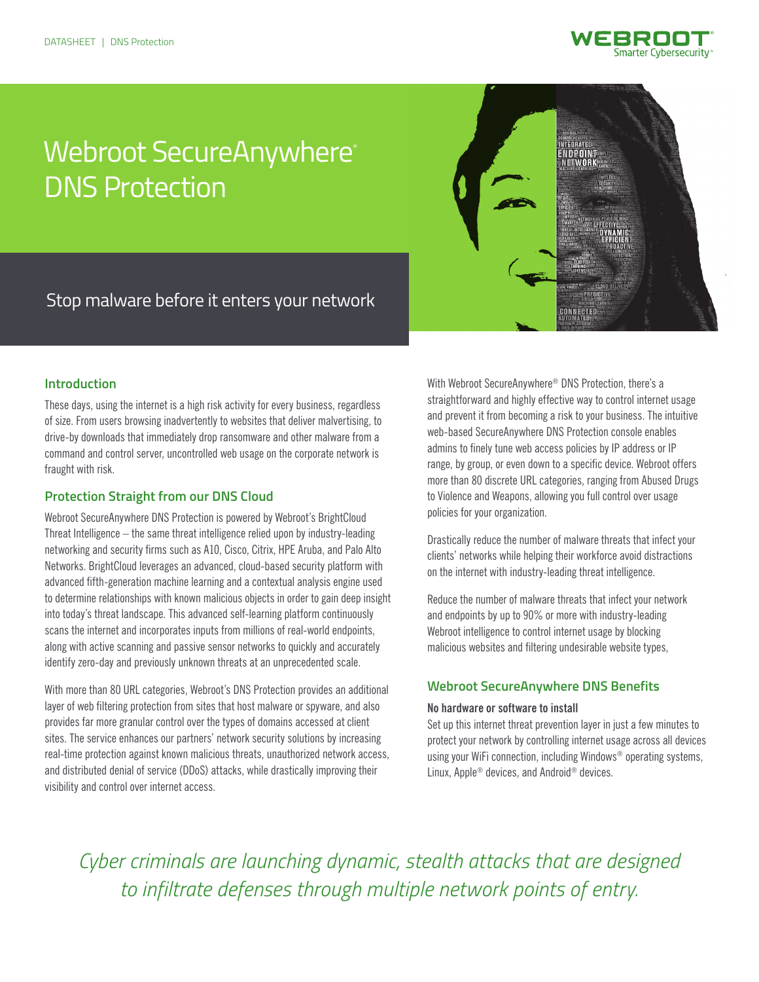

# Webroot SecureAnywhere® DNS Protection



Stop malware before it enters your network

# **Introduction**

These days, using the internet is a high risk activity for every business, regardless of size. From users browsing inadvertently to websites that deliver malvertising, to drive-by downloads that immediately drop ransomware and other malware from a command and control server, uncontrolled web usage on the corporate network is fraught with risk.

# **Protection Straight from our DNS Cloud**

Webroot SecureAnywhere DNS Protection is powered by Webroot's BrightCloud Threat Intelligence – the same threat intelligence relied upon by industry-leading networking and security firms such as A10, Cisco, Citrix, HPE Aruba, and Palo Alto Networks. BrightCloud leverages an advanced, cloud-based security platform with advanced fifth-generation machine learning and a contextual analysis engine used to determine relationships with known malicious objects in order to gain deep insight into today's threat landscape. This advanced self-learning platform continuously scans the internet and incorporates inputs from millions of real-world endpoints, along with active scanning and passive sensor networks to quickly and accurately identify zero-day and previously unknown threats at an unprecedented scale.

With more than 80 URL categories, Webroot's DNS Protection provides an additional layer of web filtering protection from sites that host malware or spyware, and also provides far more granular control over the types of domains accessed at client sites. The service enhances our partners' network security solutions by increasing real-time protection against known malicious threats, unauthorized network access, and distributed denial of service (DDoS) attacks, while drastically improving their visibility and control over internet access.

With Webroot SecureAnywhere® DNS Protection, there's a straightforward and highly effective way to control internet usage and prevent it from becoming a risk to your business. The intuitive web-based SecureAnywhere DNS Protection console enables admins to finely tune web access policies by IP address or IP range, by group, or even down to a specific device. Webroot offers more than 80 discrete URL categories, ranging from Abused Drugs to Violence and Weapons, allowing you full control over usage policies for your organization.

Drastically reduce the number of malware threats that infect your clients' networks while helping their workforce avoid distractions on the internet with industry-leading threat intelligence.

Reduce the number of malware threats that infect your network and endpoints by up to 90% or more with industry-leading Webroot intelligence to control internet usage by blocking malicious websites and filtering undesirable website types,

# **Webroot SecureAnywhere DNS Benefits**

#### **No hardware or software to install**

Set up this internet threat prevention layer in just a few minutes to protect your network by controlling internet usage across all devices using your WiFi connection, including Windows® operating systems, Linux, Apple® devices, and Android® devices.

*Cyber criminals are launching dynamic, stealth attacks that are designed to infiltrate defenses through multiple network points of entry.*